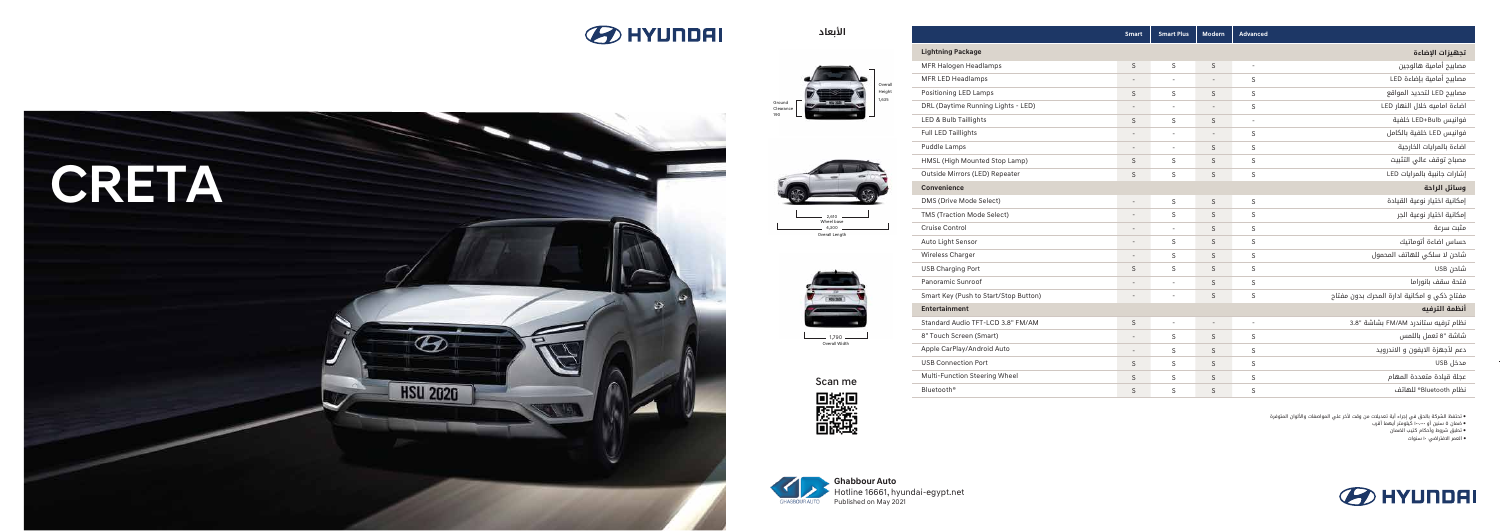# **BO HYUNDAI**











Overall Length Wheel base  $-2.610$   $-4,300 -$ 

**الأبعاد**



|                            | Overall |
|----------------------------|---------|
|                            | Height  |
| Ground<br>Clearance<br>190 | 1,635   |

**Smart Smart Plus Modern Advanced**

Scan me<br>**Discours** 

● تحتفظ الشركة بالحق في إجراء أية تعديلات من وقت لأخر علي المواصفات والألوان المتوفرة

سنين أو ١٠٠،٠٠٠ كيلومتر أيهما أقرب ● ضمان ٥

● تطبق شروط وأحكام كتيب الضمان

**Lightning Package تجهيزات الإضاءة** مصابيح أمامية هالوجين MFR Halogen Headlamps  $S$  $\sim$  $S$  $\sim 100$  $S - S - S - S - S$  $S - S - S - S - S - S$  $S - S - S - S - S$ -SSS-SSSS مصابيح أمامية بإضاءة LED MFR LED Headlamps  $\sim 10^{-10}$  $\mathcal{S}$  $\sim$ Positioning LED Lamps مصابيح LED لتحديد المواقع  $S$  $S$  $S$ DRL (Daytime Running Lights - LED)  $\sim 10^{-10}$  $S$ اضاءة اماميه خلال النهار LED  $\sim 10^{-1}$ LED & Bulb Taillights  $S$ فوانيس Bulb+LED خلفية  $S$  $\sim 10^{-1}$ Full LED Taillights فوانيس LED خلفية بالكامل  $\sim 10^{-10}$  km  $^{-1}$  $\sim$   $-$ - S اضاءة بالمرايات الخارجية Puddle Lamps  $\sim 10^{11}$  m  $^{-1}$  $S$  $S$ HMSL (High Mounted Stop Lamp) مصباح توقف عالي التثبيت  $S$  $\mathcal{S}$ -S Outside Mirrors (LED) Repeater إشارات جانبية بالمرايات LED  $S$  $S$  $\sim$ **Convenience وسائل الراحة** DMS (Drive Mode Select) إمكانية اختيار نوعية القيادة -----S-- SS-SSS-- SSSSSSSS SSSSSSSS إمكانية اختيار نوعية الجر TMS (Traction Mode Select) Cruise Control مثبت سرعة Auto Light Sensor حساس اضاءة أتوماتيك شاحن لا سلكي للهاتف المحمول Wireless Charger USB Charging Port شاحن USB فتحة سقف بانوراما Panoramic Sunroof Smart Key (Push to Start/Stop Button) مفتاح ذكي و امكانية ادارة المحرك بدون مفتاح **أنظمة الترفيه Entertainment** Standard Audio TFT-LCD 3.8" FM/AM  $S$  $\Delta \sim 100$  $S - S$ <br>SSSSS -SSSSS -SSSSS  $\sim 10^{-1}$ -SSSSS 3.8 نظام ترفيه ستاندرد AM/FM بشاشة " 8" Touch Screen (Smart)  $\sim 10^{-11}$  $\sim$  $\zeta$ شاشة "8 تعمل باللمس Apple CarPlay/Android Auto دعم لأجهزة الايفون و الاندرويد  $\sim 10^{-10}$  $\mathcal{S}$  $\mathsf{S}$ USB Connection Port مدخل USB  $S$  $\mathcal{S}$  $\mathsf{S}$ Multi-Function Steering Wheel  $S$ عجلة قيادة متعددة المهام  $\mathcal{S}$  $\mathsf{S}$ Bluetooth® نظام Bluetooth ®للهاتف  $S$  $S$  $\sim$ 



١٠ سنوات ● العمر الافتراضي:

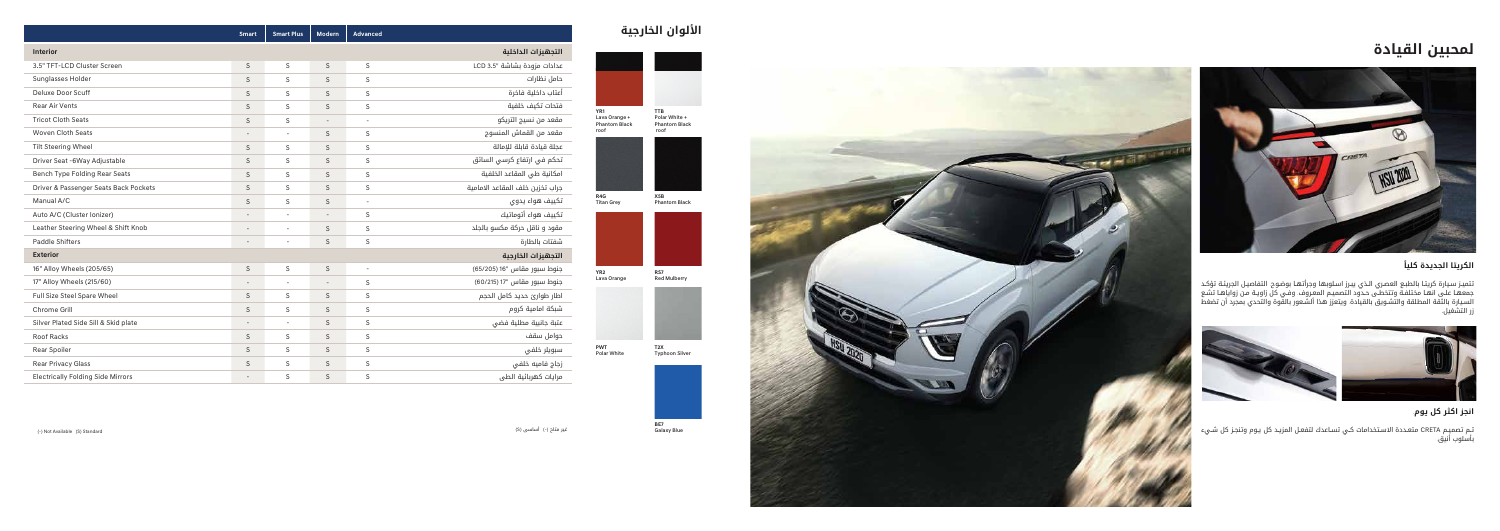## **الألوان الخارجية**

(-) Not Available (S) Standard

( S غير متاح (-) أساسى (

**PWT** Polar White



**T 2 X** Typhoon Silver



**RS 7** Red Mulberry



**BE 7** Galaxy Blue

## **ً الكريتا الجديدة كليا**

تتميـز سـيارة كريتـا بالطبـع العصـري الـذي يبـرز اسـلوبها وجراتهـا بوضـوح. التفاصيـل الجرينـة تؤكـد جمعهـا علـى انهـا مختلفـه وتتخطـى حـدود التصميـم المعـروف. وفـي كل زاويـه مـن زواياهـا تشـع

|                                          | <b>Smart</b>             | <b>Smart Plus</b>        | <b>Modern</b>            | <b>Advanced</b>          |                                 |  |
|------------------------------------------|--------------------------|--------------------------|--------------------------|--------------------------|---------------------------------|--|
| التجهيزات الداخلية<br><b>Interior</b>    |                          |                          |                          |                          |                                 |  |
| 3.5" TFT-LCD Cluster Screen              |                          | S                        | $\mathsf S$              | S                        | عدادات مزودة بشاشة "LCD 3.5     |  |
| Sunglasses Holder                        |                          | S                        | S                        | $\mathsf S$              | حامل نظارات                     |  |
| Deluxe Door Scuff                        |                          | S                        | $\mathsf S$              | S                        | أعتاب داخلية فاخرة              |  |
| <b>Rear Air Vents</b>                    |                          | S                        | $\mathsf S$              | $\mathsf S$              | فتحات تكيف خلفية                |  |
| <b>Tricot Cloth Seats</b>                |                          | S                        | $\overline{\phantom{a}}$ | $\overline{\phantom{a}}$ | مقعد من نسيج التريكو            |  |
| <b>Woven Cloth Seats</b>                 |                          | $\overline{\phantom{a}}$ | $\mathsf S$              | S                        | مقعد من القماش المنسوج          |  |
| <b>Tilt Steering Wheel</b>               |                          | S                        | S                        | S                        | عجلة قيادة قابلة للإمالة        |  |
| Driver Seat -6Way Adjustable             | S                        | S                        | $\mathsf S$              | S                        | تحكم في ارتفاع كرسي السائق      |  |
| Bench Type Folding Rear Seats            | $\mathsf S$              | S                        | S                        | S                        | امكانية طى المقاعد الخلفية      |  |
| Driver & Passenger Seats Back Pockets    | $\mathsf S$              | S                        | $\mathsf S$              | $\mathsf S$              | جراب تخزين خلف المقاعد الامامية |  |
| Manual A/C                               | S                        | S                        | S                        | $\overline{\phantom{a}}$ | تكييف هواء يدوى                 |  |
| Auto A/C (Cluster Ionizer)               |                          |                          | $\overline{a}$           | S                        | تكييف هواء أتوماتيك             |  |
| Leather Steering Wheel & Shift Knob      |                          | $\overline{\phantom{a}}$ | $\mathsf S$              | $\mathsf S$              | مقود و ناقل حركة مكسو بالجلد    |  |
| <b>Paddle Shifters</b>                   | $\overline{\phantom{a}}$ | $\overline{\phantom{a}}$ | $\mathsf S$              | S                        | شفتات بالطارة                   |  |
| <b>Exterior</b><br>التجهيزات الخارجية    |                          |                          |                          |                          |                                 |  |
| 16" Alloy Wheels (205/65)                | $\sf S$                  | S                        | $\mathsf S$              | $\overline{\phantom{a}}$ | جنوط سبور مقاس "16 (65/205)     |  |
| 17" Alloy Wheels (215/60)                | $\overline{\phantom{a}}$ | $\overline{a}$           | $\overline{\phantom{a}}$ | S                        | جنوط سبور مقاس "17 (60/215)     |  |
| Full Size Steel Spare Wheel              | S                        | S                        | $\mathsf S$              | S                        | اطار طوارئ حديد كامل الحجم      |  |
| Chrome Grill                             | S                        | S                        | S                        | $\mathsf S$              | شبكة امامية كروم                |  |
| Silver Plated Side Sill & Skid plate     | $\overline{\phantom{a}}$ | $\overline{\phantom{a}}$ | $\mathsf S$              | S                        | عتبة جانبية مطلية فضى           |  |
| Roof Racks                               | $\mathsf S$              | S                        | $\mathsf S$              | S                        | حوامل سقف                       |  |
| Rear Spoiler                             | $\mathsf S$              | S                        | $\mathsf S$              | $\mathsf S$              | سبويلر خلفى                     |  |
| <b>Rear Privacy Glass</b>                |                          | S                        | $\mathsf S$              | $\mathsf S$              | زجاج فاميه خلفى                 |  |
| <b>Electrically Folding Side Mirrors</b> |                          | S                        | $\mathsf S$              | S                        | مرايات كهربائية الطى            |  |





تـم تصميـم CRETA متعـددة الاسـتخدامات كـي تسـاعدك لتفعـل المزيـد كل يـوم وتنجـز كل شـيء<br>بأسلوب أنيق.



# **لمحبين القيادة التجهيزات الداخلية**



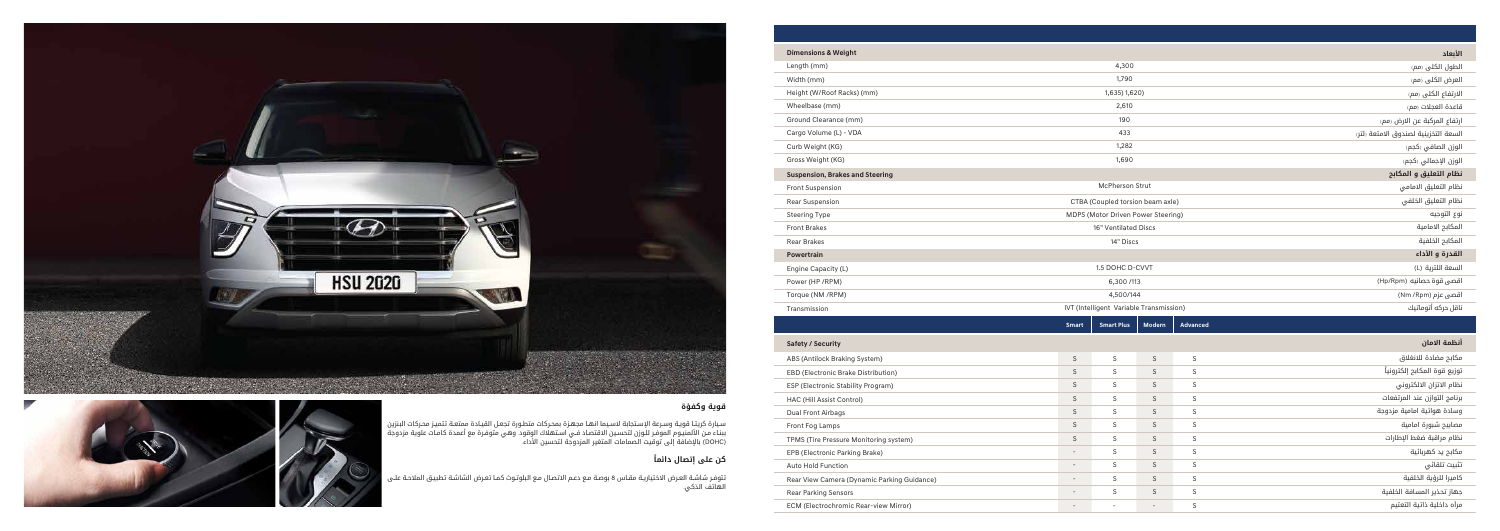

### **قوية وكفؤة**

سـيارة كريتـا قويـة وسـرعة الإسـتجابة لاسـيما انهـا مجهـزة بمحـركات متطـورة تجعـل القيـادة ممتعـة. تتميـز محـركات البنزين ببنـاء مـن الالمنيـوم الموفـر للـوزن لتحسـين الاقتصـاد فـي اسـتهلاك الوقود. وهي متوفـرة مع اعمدة كامـات علوية مزدوجة (DOHC (بالإضافة إلى توقيت الصمامات المتغير المزدوجة لتحسين الأداء.

#### **ً كن على إتصال دائما**

تتوفـر شاشـة العـرض الاختياريـة مقـاس 8 بوصـة مـع دعـم الاتصـال مـع البلوتـوث كمـا تعـرض الشاشـة تطبيـق الملاحـة علـى الهاتف الذكي.



| <b>Dimensions &amp; Weight</b>              |                                         |                          |                          |                              | الأبعاد                              |
|---------------------------------------------|-----------------------------------------|--------------------------|--------------------------|------------------------------|--------------------------------------|
| Length (mm)                                 |                                         | 4,300                    |                          |                              | الطول الكلى (مم)                     |
| Width (mm)                                  | 1,790                                   |                          |                          |                              | العرض الكلى (مم)                     |
| Height (W/Roof Racks) (mm)                  | 1,635) 1,620)                           |                          |                          | الارتفاع الكلى (مم)          |                                      |
| Wheelbase (mm)                              | 2,610                                   |                          |                          | قاعدة العجلات رمم)           |                                      |
| Ground Clearance (mm)                       | 190                                     |                          |                          | ارتفاع المركبة عن الارض (مم) |                                      |
| Cargo Volume (L) - VDA                      |                                         | 433                      |                          |                              | السعة التخزينية لصندوق الامتعة رلتر، |
| Curb Weight (KG)                            |                                         | 1,282                    |                          |                              | الوزن الصافي (كجم)                   |
| Gross Weight (KG)                           | 1,690                                   |                          |                          | الوزن الإجمالي (كجم)         |                                      |
| <b>Suspension, Brakes and Steering</b>      |                                         |                          |                          |                              | نظام التعليق و المكابح               |
| Front Suspension                            |                                         | McPherson Strut          |                          |                              | نظام التعليق الامامي                 |
| Rear Suspension                             | CTBA (Coupled torsion beam axle)        |                          |                          | نظام التعليق الخلفى          |                                      |
| <b>Steering Type</b>                        | MDPS (Motor Driven Power Steering)      |                          |                          | نوع التوجيه                  |                                      |
| <b>Front Brakes</b>                         | 16" Ventilated Discs                    |                          |                          | المكابح الامامية             |                                      |
| <b>Rear Brakes</b>                          | 14" Discs                               |                          |                          | المكابح الخلفية              |                                      |
| <b>Powertrain</b>                           |                                         |                          |                          |                              | القدرة و الأداء                      |
| Engine Capacity (L)                         | 1.5 DOHC D-CVVT                         |                          | السعة اللترية (L)        |                              |                                      |
| Power (HP / RPM)                            | 6,300/113                               |                          |                          | اقصى قوة حصانيه (Hp/Rpm)     |                                      |
| Torque (NM /RPM)                            | 4,500/144                               |                          |                          | اقصی عزم (Nm /Rpm)           |                                      |
| Transmission                                | IVT (Intelligent Variable Transmission) |                          |                          | ناقل حركه أتوماتيك           |                                      |
|                                             | <b>Smart</b>                            | <b>Smart Plus</b>        | <b>Modern</b>            | <b>Advanced</b>              |                                      |
| <b>Safety / Security</b>                    |                                         |                          |                          |                              | أنظمة الامان                         |
| ABS (Antilock Braking System)               | $\mathsf S$                             | S                        | $\mathsf S$              | S                            | مكابح مضادة للانغلاق                 |
| EBD (Electronic Brake Distribution)         | $\mathsf S$                             | S                        | $\mathsf S$              | S                            | توزيع قوة المكابح إلكترونياً         |
| ESP (Electronic Stability Program)          | $\mathsf S$                             | S                        | $\mathsf S$              | $\mathsf S$                  | نظام الاتزان الالكتروني              |
| HAC (Hill Assist Control)                   | $\mathsf S$                             | S                        | $\mathsf S$              | S                            | برنامج التوازن عند المرتفعات         |
| Dual Front Airbags                          | $\mathsf S$                             | $\mathsf S$              | $\mathsf S$              | $\mathsf S$                  | وسادة هوائية امامية مزدوجة           |
| Front Fog Lamps                             | $\mathsf S$                             | $\mathsf S$              | $\mathsf S$              | S                            | مصابيح شبورة امامية                  |
| TPMS (Tire Pressure Monitoring system)      | $\mathsf S$                             | ${\sf S}$                | $\mathsf S$              | $\mathsf S$                  | نظام مراقبة ضغط الإطارات             |
| EPB (Electronic Parking Brake)              |                                         | $\mathsf S$              | $\mathsf S$              | $\mathsf S$                  | مکابح ید کهربائیة                    |
| Auto Hold Function                          | $\overline{\phantom{a}}$                | $\mathsf S$              | $\mathsf S$              | $\mathsf S$                  | تثبيت تلقائي                         |
| Rear View Camera (Dynamic Parking Guidance) |                                         | S                        | $\mathsf S$              | S                            | كاميرا للرؤية الخلفية                |
| Rear Parking Sensors                        |                                         | ${\sf S}$                | $\mathsf S$              | $\mathsf S$                  | جهاز تحذير المسافة الخلفية           |
| ECM (Electrochromic Rear-view Mirror)       | $\sim$                                  | $\overline{\phantom{a}}$ | $\overline{\phantom{a}}$ | S                            | مرأه داخلية ذاتية التعتيم            |